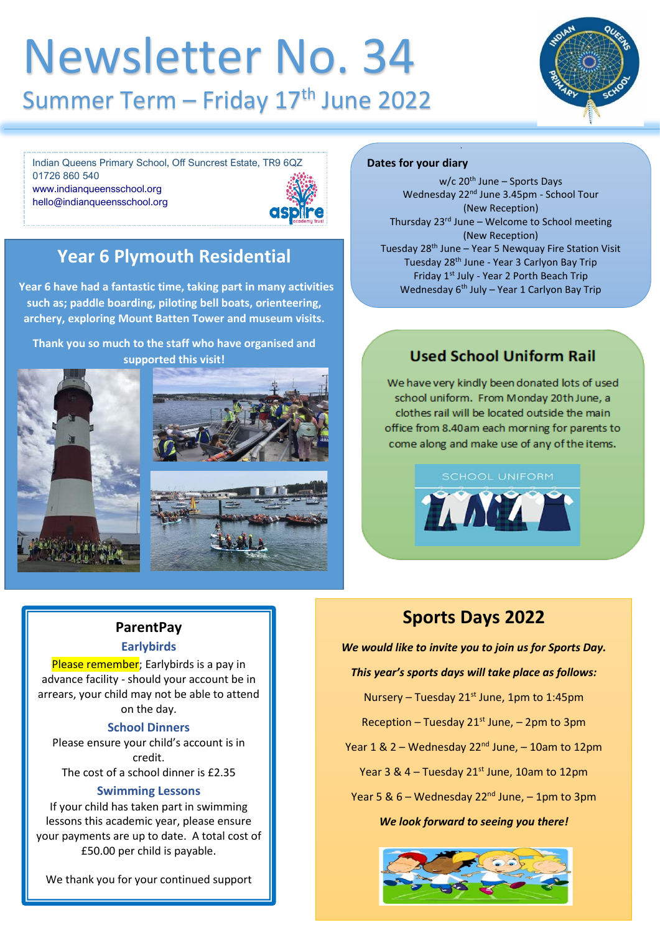## Newsletter No. 34 Summer Term - Friday 17<sup>th</sup> June 2022



Indian Queens Primary School, Off Suncrest Estate, TR9 6QZ 01726 860 540 [www.indianqueensschool.org](http://www.indianqueensschool.org/) [hello@indianqueensschool.org](mailto:hello@indianqueensschool.org)



## **Year 6 Plymouth Residential**

**Year 6 have had a fantastic time, taking part in many activities such as; paddle boarding, piloting bell boats, orienteering, archery, exploring Mount Batten Tower and museum visits.**

**Thank you so much to the staff who have organised and supported this visit!**





#### **Dates for your diary**

w/c 20<sup>th</sup> June - Sports Days Wednesday 22nd June 3.45pm - School Tour (New Reception) Thursday  $23<sup>rd</sup>$  June – Welcome to School meeting (New Reception) Tuesday 28<sup>th</sup> June - Year 5 Newquay Fire Station Visit Tuesday 28th June - Year 3 Carlyon Bay Trip Friday 1st July - Year 2 Porth Beach Trip Wednesday 6<sup>th</sup> July – Year 1 Carlyon Bay Trip

## **Used School Uniform Rail**

Thursday 7th July - Summer Fair

We have very kindly been donated lots of used school uniform. From Monday 20th June, a clothes rail will be located outside the main office from 8.40am each morning for parents to come along and make use of any of the items.



### **ParentPay Earlybirds**

Please remember; Earlybirds is a pay in advance facility - should your account be in arrears, your child may not be able to attend on the day.

#### **School Dinners**

Please ensure your child's account is in credit. The cost of a school dinner is £2.35

## **Swimming Lessons**

If your child has taken part in swimming lessons this academic year, please ensure your payments are up to date. A total cost of £50.00 per child is payable.

We thank you for your continued support

## **Sports Days 2022**

*We would like to invite you to join us for Sports Day.* 

#### *This year's sports days will take place as follows:*

Nursery – Tuesday  $21^{st}$  June, 1pm to 1:45pm Reception – Tuesday  $21^{st}$  June, – 2pm to 3pm Year  $1 & 2$  – Wednesday  $22<sup>nd</sup>$  June, – 10am to 12pm Year 3 & 4 – Tuesday  $21^{st}$  June, 10am to 12pm Year 5 &  $6 -$  Wednesday 22<sup>nd</sup> June,  $-$  1pm to 3pm *We look forward to seeing you there!*